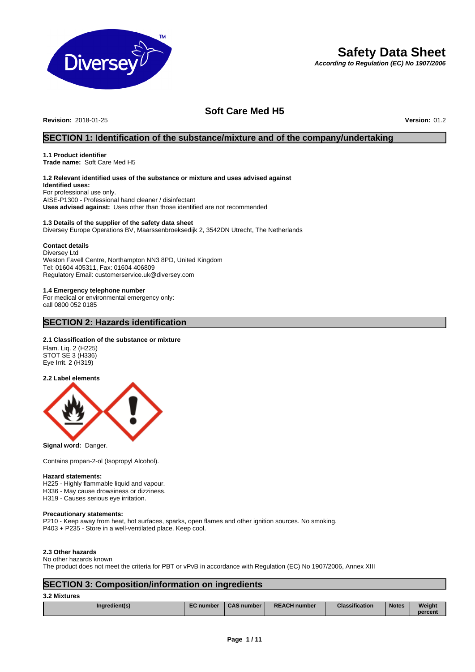

# **Safety Data Sheet**

*According to Regulation (EC) No 1907/2006*

## **Soft Care Med H5**

**Revision:** 2018-01-25 **Version:** 01.2

### **SECTION 1: Identification of the substance/mixture and of the company/undertaking**

### **1.1 Product identifier**

**Trade name:** Soft Care Med H5

### **1.2 Relevant identified uses of the substance or mixture and uses advised against**

**Identified uses:** For professional use only. AISE-P1300 - Professional hand cleaner / disinfectant **Uses advised against:** Uses other than those identified are not recommended

#### **1.3 Details of the supplier of the safety data sheet** Diversey Europe Operations BV, Maarssenbroeksedijk 2, 3542DN Utrecht, The Netherlands

#### **Contact details**

Diversey Ltd Weston Favell Centre, Northampton NN3 8PD, United Kingdom Tel: 01604 405311, Fax: 01604 406809 Regulatory Email: customerservice.uk@diversey.com

#### **1.4 Emergency telephone number**

For medical or environmental emergency only: call 0800 052 0185

### **SECTION 2: Hazards identification**

#### **2.1 Classification of the substance or mixture**

Flam. Liq. 2 (H225) STOT SE 3 (H336) Eye Irrit. 2 (H319)

**2.2 Label elements**



**Signal word:** Danger.

Contains propan-2-ol (Isopropyl Alcohol).

#### **Hazard statements:**

H225 - Highly flammable liquid and vapour. H336 - May cause drowsiness or dizziness. H319 - Causes serious eye irritation.

#### **Precautionary statements:**

P210 - Keep away from heat, hot surfaces, sparks, open flames and other ignition sources. No smoking. P403 + P235 - Store in a well-ventilated place. Keep cool.

#### **2.3 Other hazards**

No other hazards known

The product does not meet the criteria for PBT or vPvB in accordance with Regulation (EC) No 1907/2006, Annex XIII

### **SECTION 3: Composition/information on ingredients**

#### **3.2 Mixtures**

| Inaredient(s) | <b>EC</b> number | <b>CAS number</b> | <b>REACH number</b> | <b>Classification</b> | <b>Notes</b> | Weight  |
|---------------|------------------|-------------------|---------------------|-----------------------|--------------|---------|
|               |                  |                   |                     |                       |              |         |
|               |                  |                   |                     |                       |              | percent |
|               |                  |                   |                     |                       |              |         |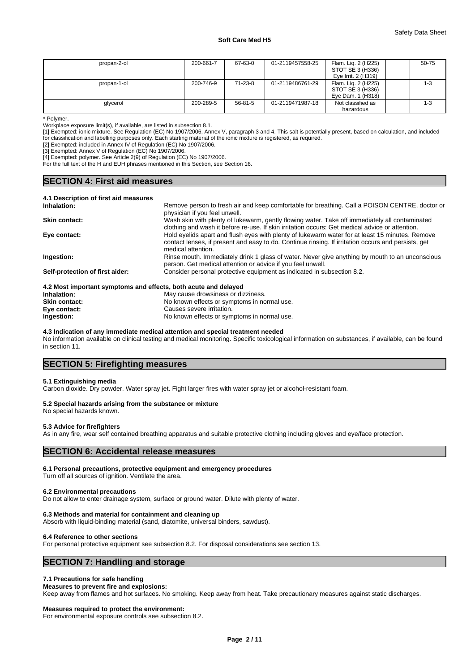| propan-2-ol | 200-661-7 | 67-63-0 | 01-2119457558-25 | Flam. Lig. 2 (H225) | 50-75 |
|-------------|-----------|---------|------------------|---------------------|-------|
|             |           |         |                  | STOT SE 3 (H336)    |       |
|             |           |         |                  | Eye Irrit. 2 (H319) |       |
| propan-1-ol | 200-746-9 | 71-23-8 | 01-2119486761-29 | Flam. Lig. 2 (H225) | 1-3   |
|             |           |         |                  | STOT SE 3 (H336)    |       |
|             |           |         |                  | Eye Dam. 1 (H318)   |       |
| glycerol    | 200-289-5 | 56-81-5 | 01-2119471987-18 | Not classified as   | 1-3   |
|             |           |         |                  | hazardous           |       |

\* Polymer.

Workplace exposure limit(s), if available, are listed in subsection 8.1.

[1] Exempted: ionic mixture. See Regulation (EC) No 1907/2006, Annex V, paragraph 3 and 4. This salt is potentially present, based on calculation, and included for classification and labelling purposes only. Each starting material of the ionic mixture is registered, as required.

[2] Exempted: included in Annex IV of Regulation (EC) No 1907/2006.

[3] Exempted: Annex V of Regulation (EC) No 1907/2006.

[4] Exempted: polymer. See Article 2(9) of Regulation (EC) No 1907/2006.

For the full text of the H and EUH phrases mentioned in this Section, see Section 16.

### **SECTION 4: First aid measures**

| 4.1 Description of first aid measures |                                                                                                                                                                                                                              |
|---------------------------------------|------------------------------------------------------------------------------------------------------------------------------------------------------------------------------------------------------------------------------|
| Inhalation:                           | Remove person to fresh air and keep comfortable for breathing. Call a POISON CENTRE, doctor or<br>physician if you feel unwell.                                                                                              |
| <b>Skin contact:</b>                  | Wash skin with plenty of lukewarm, gently flowing water. Take off immediately all contaminated<br>clothing and wash it before re-use. If skin irritation occurs: Get medical advice or attention.                            |
| Eye contact:                          | Hold eyelids apart and flush eyes with plenty of lukewarm water for at least 15 minutes. Remove<br>contact lenses, if present and easy to do. Continue rinsing. If irritation occurs and persists, get<br>medical attention. |
| Ingestion:                            | Rinse mouth. Immediately drink 1 glass of water. Never give anything by mouth to an unconscious<br>person. Get medical attention or advice if you feel unwell.                                                               |
| Self-protection of first aider:       | Consider personal protective equipment as indicated in subsection 8.2.                                                                                                                                                       |
|                                       |                                                                                                                                                                                                                              |

#### **4.2 Most important symptoms and effects, both acute and delayed**

| Inhalation:          | May cause drowsiness or dizziness.          |
|----------------------|---------------------------------------------|
| <b>Skin contact:</b> | No known effects or symptoms in normal use. |
| Eye contact:         | Causes severe irritation.                   |
| Ingestion:           | No known effects or symptoms in normal use. |

#### **4.3 Indication of any immediate medical attention and special treatment needed**

No information available on clinical testing and medical monitoring. Specific toxicological information on substances, if available, can be found in section 11.

### **SECTION 5: Firefighting measures**

#### **5.1 Extinguishing media**

Carbon dioxide. Dry powder. Water spray jet. Fight larger fires with water spray jet or alcohol-resistant foam.

#### **5.2 Special hazards arising from the substance or mixture**

No special hazards known.

#### **5.3 Advice for firefighters**

As in any fire, wear self contained breathing apparatus and suitable protective clothing including gloves and eye/face protection.

### **SECTION 6: Accidental release measures**

#### **6.1 Personal precautions, protective equipment and emergency procedures**

Turn off all sources of ignition. Ventilate the area.

#### **6.2 Environmental precautions**

Do not allow to enter drainage system, surface or ground water. Dilute with plenty of water.

#### **6.3 Methods and material for containment and cleaning up**

Absorb with liquid-binding material (sand, diatomite, universal binders, sawdust).

#### **6.4 Reference to other sections**

For personal protective equipment see subsection 8.2. For disposal considerations see section 13.

### **SECTION 7: Handling and storage**

#### **7.1 Precautions for safe handling**

#### **Measures to prevent fire and explosions:**

Keep away from flames and hot surfaces. No smoking. Keep away from heat. Take precautionary measures against static discharges.

#### **Measures required to protect the environment:**

For environmental exposure controls see subsection 8.2.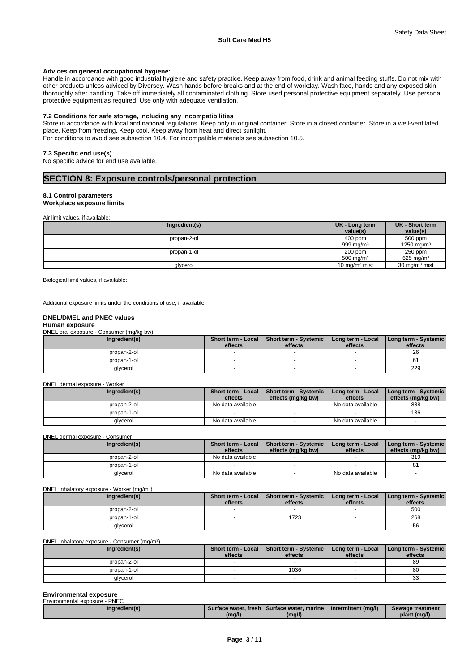#### **Advices on general occupational hygiene:**

Handle in accordance with good industrial hygiene and safety practice. Keep away from food, drink and animal feeding stuffs. Do not mix with other products unless adviced by Diversey. Wash hands before breaks and at the end of workday. Wash face, hands and any exposed skin thoroughly after handling. Take off immediately all contaminated clothing. Store used personal protective equipment separately. Use personal protective equipment as required. Use only with adequate ventilation.

#### **7.2 Conditions for safe storage, including any incompatibilities**

Store in accordance with local and national regulations. Keep only in original container. Store in a closed container. Store in a well-ventilated place. Keep from freezing. Keep cool. Keep away from heat and direct sunlight. For conditions to avoid see subsection 10.4. For incompatible materials see subsection 10.5.

#### **7.3 Specific end use(s)**

No specific advice for end use available.

### **SECTION 8: Exposure controls/personal protection**

### **8.1 Control parameters**

**Workplace exposure limits**

Air limit values, if available:

| Ingredient(s) | UK - Long term<br>value(s) | UK - Short term<br>value(s)      |
|---------------|----------------------------|----------------------------------|
| propan-2-ol   | 400 ppm<br>999 ma/m $3$    | 500 ppm<br>1250 mg/m $3$         |
| propan-1-ol   | 200 ppm<br>500 mg/ $m3$    | 250 ppm<br>625 mg/m <sup>3</sup> |
| glycerol      | 10 mg/m $3$ mist           | 30 mg/m <sup>3</sup> mist        |

Biological limit values, if available:

Additional exposure limits under the conditions of use, if available:

#### **DNEL/DMEL and PNEC values**

#### **Human exposure**

DNEL oral exposure - Consumer (mg/kg bw)

| Ingredient(s) | effects | Short term - Local   Short term - Systemic<br>effects | Long term - Local<br>effects | Long term - Systemic<br>effects |  |
|---------------|---------|-------------------------------------------------------|------------------------------|---------------------------------|--|
| propan-2-ol   |         |                                                       |                              | 26                              |  |
| propan-1-ol   |         |                                                       |                              | o.                              |  |
| glycerol      |         |                                                       |                              | 229                             |  |

#### DNEL dermal exposure - Worker

| Ingredient(s) | <b>Short term - Local</b> | Short term - Systemic | Long term - Local | [Long term - Systemic] |
|---------------|---------------------------|-----------------------|-------------------|------------------------|
|               | effects                   | effects (mg/kg bw)    | effects           | effects (mg/kg bw)     |
| propan-2-ol   | No data available         |                       | No data available | 888                    |
| propan-1-ol   |                           |                       |                   | 136                    |
| glycerol      | No data available         |                       | No data available |                        |

DNEL dermal exposure - Consumer

| Ingredient(s) | effects           | Short term - Local Short term - Systemic<br>effects (mg/kg bw) | Long term - Local<br>effects | I Long term - Systemic I<br>effects (mg/kg bw) |
|---------------|-------------------|----------------------------------------------------------------|------------------------------|------------------------------------------------|
|               |                   |                                                                |                              |                                                |
| propan-2-ol   | No data available |                                                                |                              | 319                                            |
| propan-1-ol   |                   |                                                                |                              |                                                |
| qlycerol      | No data available |                                                                | No data available            |                                                |

DNEL inhalatory exposure - Worker (mg/m<sup>3</sup>

| DNEL inhalatory exposure - Worker (mg/m <sup>3</sup> ) |               |         |                                                     |                              |                                 |  |  |
|--------------------------------------------------------|---------------|---------|-----------------------------------------------------|------------------------------|---------------------------------|--|--|
|                                                        | Ingredient(s) | effects | Short term - Local Short term - Systemic<br>effects | Long term - Local<br>effects | Long term - Systemic<br>effects |  |  |
|                                                        | propan-2-ol   |         |                                                     |                              | 500                             |  |  |
|                                                        | propan-1-ol   |         | 1723                                                |                              | 268                             |  |  |
|                                                        | glycerol      |         |                                                     |                              | 56                              |  |  |

DNEL inhalatory exposure - Consumer (mg/m<sup>3</sup>)  $)$ 

| Ingredient(s) | Short term - Local<br>effects | Short term - Systemic<br>effects | Long term - Local<br>effects | Long term - Systemic<br>effects |
|---------------|-------------------------------|----------------------------------|------------------------------|---------------------------------|
| propan-2-ol   |                               |                                  |                              | 89                              |
| propan-1-ol   |                               | 1036                             |                              | 80                              |
| glycerol      |                               |                                  |                              | $\sim$<br>ບປ                    |

## **Environmental exposure**

| Environmental exposure - PNEC |        |                                              |                     |                  |
|-------------------------------|--------|----------------------------------------------|---------------------|------------------|
| Inaredient(s)                 |        | Surface water, fresh ISurface water, marinel | Intermittent (ma/l) | Sewage treatment |
|                               | (mg/l) | (mg/l)                                       |                     | plant (mg/l)     |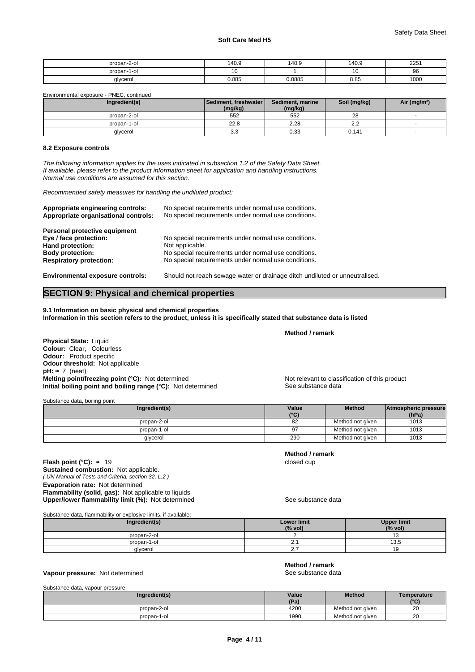| nropan-2-o      | 140.9 | 140.9  | 140.9 | 2251 |
|-----------------|-------|--------|-------|------|
| propan-1<br>1-с |       |        |       | ິບ   |
| alvcerol        | 0.885 | J.0885 | 8.85  | 1000 |

Environmental exposure - PNEC, continued

| Ingredient(s) | l Sediment. freshwater l<br>(mg/kg) | Sediment, marine<br>(mg/kg) | Soil (mg/kg) | Air (mg/m <sup>3</sup> ) |
|---------------|-------------------------------------|-----------------------------|--------------|--------------------------|
| propan-2-ol   | 552                                 | 552                         | 28           |                          |
| propan-1-ol   | 22.8                                | 2.28                        | n c<br>ے.ء   |                          |
| glycerol      | 3.3                                 | 0.33                        | 0.141        |                          |

### **8.2 Exposure controls**

*The following information applies for the uses indicated in subsection 1.2 of the Safety Data Sheet. If available, please refer to the product information sheet for application and handling instructions. Normal use conditions are assumed for this section.*

*Recommended safety measures for handling the undiluted product:*

| Appropriate engineering controls:<br>Appropriate organisational controls: | No special requirements under normal use conditions.<br>No special requirements under normal use conditions. |
|---------------------------------------------------------------------------|--------------------------------------------------------------------------------------------------------------|
| Personal protective equipment                                             |                                                                                                              |
| Eye / face protection:                                                    | No special requirements under normal use conditions.                                                         |
| Hand protection:                                                          | Not applicable.                                                                                              |
| <b>Body protection:</b>                                                   | No special requirements under normal use conditions.                                                         |
| <b>Respiratory protection:</b>                                            | No special requirements under normal use conditions.                                                         |
| <b>Environmental exposure controls:</b>                                   | Should not reach sewage water or drainage ditch undiluted or unneutralised.                                  |

## **SECTION 9: Physical and chemical properties**

**9.1 Information on basic physical and chemical properties Information in this section refers to the product, unless it is specifically stated that substance data is listed**

#### **Method / remark**

**Physical State:** Liquid **Colour:** Clear, Colourless **Odour:** Product specific **Odour threshold:** Not applicable  $pH: \approx 7$  (neat) **Melting point/freezing point (°C):** Not determined Not relevant to classification of this product **Initial boiling point and boiling range (°C):** Not determined See substance data

Substance data, boiling point

| Value         | <b>Method</b>    | Atmospheric pressure |  |
|---------------|------------------|----------------------|--|
| $(^{\circ}C)$ |                  | (hPa)                |  |
| 82            | Method not given | 1013                 |  |
| 97            | Method not given | 1013                 |  |
| 290           | Method not given | 1013                 |  |
|               |                  |                      |  |

*( UN Manual of Tests and Criteria, section 32, L.2 )* **Flash point (°C):** ≈ 19 closed cup **Sustained combustion:** Not applicable. **Evaporation rate:** Not determined **Flammability (solid, gas):** Not applicable to liquids **Upper/lower flammability limit (%):** Not determined See substance data

**Method / remark**

Substance data, flammability or explosive limits, if available:

| Ingredient(s) | <b>Lower limit</b><br>(% vol) | <b>Upper limit</b><br>(% vol) |
|---------------|-------------------------------|-------------------------------|
| propan-2-ol   |                               |                               |
| propan-1-ol   | <u>.</u>                      | $\sim$ $\sim$<br>1 J.U        |
| glycerol      | .                             | ◡                             |

#### **Vapour pressure:** Not determined **See substance data** See substance data

| Method / remark    |  |
|--------------------|--|
| Soo substance data |  |

| Substance data, vapour pressure |  |  |
|---------------------------------|--|--|
|                                 |  |  |

| Ingredient(s)    | Value                   | Method           | Temperature |
|------------------|-------------------------|------------------|-------------|
|                  | (D <sub>2</sub> )<br>ъ. |                  | $\sim$      |
| propan-2-ol      | 4200                    | Method not given | 20          |
| propan-1<br>1-ol | 1990                    | Method not given | 20          |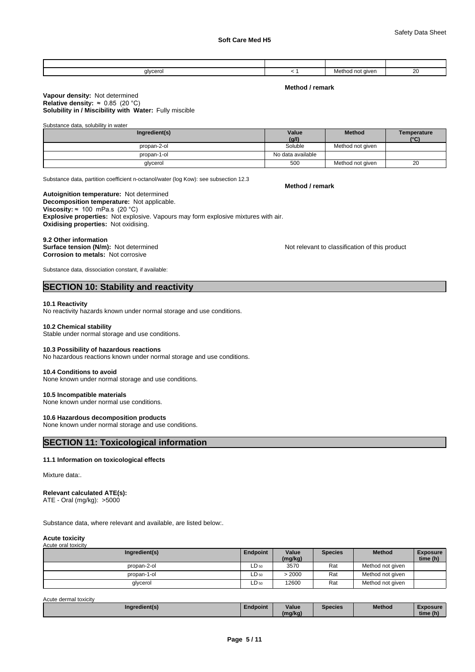| the contract of the contract of the<br>glycero<br>. | $\sim$ $\sim$ | aiver<br>no<br>™noo<br>סועו<br>.<br>- 7<br>$\sim$ $\sim$ | oc<br>∠∪<br>$\sim$ |
|-----------------------------------------------------|---------------|----------------------------------------------------------|--------------------|

**Method / remark**

#### **Solubility in / Miscibility with Water:** Fully miscible **Vapour density:** Not determined **Relative density:** ≈0.85(20°C)

Substance data, solubility in water

| Ingredient(s) | Value             | <b>Method</b>    | Temperature |
|---------------|-------------------|------------------|-------------|
|               | (g/l)             |                  | (°C)        |
| propan-2-ol   | Soluble           | Method not given |             |
| propan-1-ol   | No data available |                  |             |
| glycerol      | 500               | Method not given | 20          |

Substance data, partition coefficient n-octanol/water (log Kow): see subsection 12.3

#### **Decomposition temperature:** Not applicable. **Autoignition temperature:** Not determined **Viscosity:**  $\approx$  100 mPa.s (20 °C) **Explosive properties:** Not explosive. Vapours may form explosive mixtures with air. **Oxidising properties:** Not oxidising.

#### **9.2 Other information**

**Surface tension (N/m):** Not determined **Notification of this product** Not relevant to classification of this product **Corrosion to metals:** Not corrosive

Substance data, dissociation constant, if available:

### **SECTION 10: Stability and reactivity**

#### **10.1 Reactivity**

No reactivity hazards known under normal storage and use conditions.

#### **10.2 Chemical stability**

Stable under normal storage and use conditions.

#### **10.3 Possibility of hazardous reactions**

No hazardous reactions known under normal storage and use conditions.

#### **10.4 Conditions to avoid**

None known under normal storage and use conditions.

#### **10.5 Incompatible materials**

None known under normal use conditions.

#### **10.6 Hazardous decomposition products**

None known under normal storage and use conditions.

### **SECTION 11: Toxicological information**

#### **11.1 Information on toxicological effects**

Mixture data:.

#### **Relevant calculated ATE(s):**

ATE - Oral (mg/kg): >5000

Substance data, where relevant and available, are listed below:.

#### **Acute toxicity**

| Acute oral toxicity |           |                  |                |                  |                             |
|---------------------|-----------|------------------|----------------|------------------|-----------------------------|
| Ingredient(s)       | Endpoint  | Value<br>(mg/kg) | <b>Species</b> | <b>Method</b>    | <b>Exposure</b><br>time (h) |
| propan-2-ol         | $LD_{50}$ | 3570             | Rat            | Method not given |                             |
| propan-1-ol         | $LD_{50}$ | > 2000           | Rat            | Method not given |                             |
| glycerol            | $LD_{50}$ | 12600            | Rat            | Method not given |                             |

Acute dermal toxicity

| Ingredient(s.<br>$\sim$ | ∠ndpoint | . .<br>Value      | Species | Method<br><u></u> | posure<br>$-1$ |
|-------------------------|----------|-------------------|---------|-------------------|----------------|
|                         |          | q/kq,<br>۱m.<br>_ |         |                   | time (h)       |

#### **Method / remark**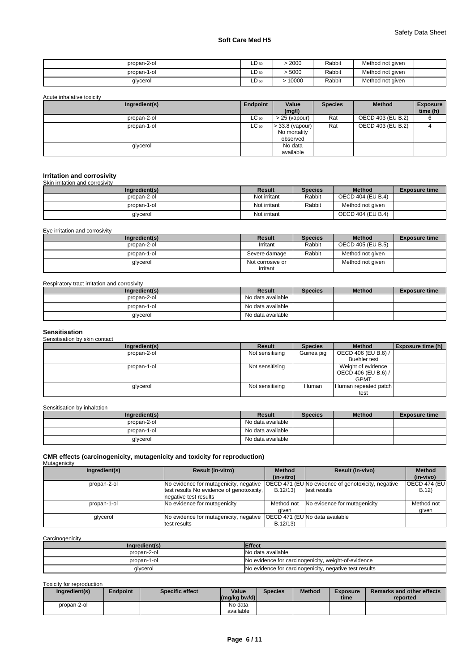| propan-2-ol | $LD_{50}$ | 2000  | Rabbit | Method not given |  |
|-------------|-----------|-------|--------|------------------|--|
| propan-1-ol | $LD_{50}$ | 5000  | Rabbit | Method not given |  |
| glycerol    | $LD_{50}$ | 10000 | Rabbit | Method not given |  |

| Acute inhalative toxicity |           |                                               |                |                   |                             |  |  |  |
|---------------------------|-----------|-----------------------------------------------|----------------|-------------------|-----------------------------|--|--|--|
| Ingredient(s)             | Endpoint  | Value<br>(mg/l)                               | <b>Species</b> | <b>Method</b>     | <b>Exposure</b><br>time (h) |  |  |  |
| propan-2-ol               | $LC_{50}$ | $> 25$ (vapour)                               | Rat            | OECD 403 (EU B.2) |                             |  |  |  |
| propan-1-ol               | $LC_{50}$ | $>$ 33.8 (vapour)<br>No mortality<br>observed | Rat            | OECD 403 (EU B.2) | ↵                           |  |  |  |
| glycerol                  |           | No data<br>available                          |                |                   |                             |  |  |  |

#### **Irritation and corrosivity** Skin irritation and corrosivity

| Ingredient(s) | Result       | <b>Species</b> | <b>Method</b>     | <b>Exposure time</b> |
|---------------|--------------|----------------|-------------------|----------------------|
| propan-2-ol   | Not irritant | Rabbit         | OECD 404 (EU B.4) |                      |
| propan-1-ol   | Not irritant | Rabbit         | Method not given  |                      |
| glycerol      | Not irritant |                | OECD 404 (EU B.4) |                      |

Eye irritation and corrosivity

| Ingredient(s) | Result                       | <b>Species</b> | <b>Method</b>     | <b>Exposure time</b> |
|---------------|------------------------------|----------------|-------------------|----------------------|
| propan-2-ol   | Irritant                     | Rabbit         | OECD 405 (EU B.5) |                      |
| propan-1-ol   | Severe damage                | Rabbit         | Method not given  |                      |
| glycerol      | Not corrosive or<br>irritant |                | Method not given  |                      |

### Respiratory tract irritation and corrosivity

| Ingredient(s) | <b>Result</b>     | <b>Species</b> | <b>Method</b> | <b>Exposure time</b> |
|---------------|-------------------|----------------|---------------|----------------------|
| propan-2-ol   | No data available |                |               |                      |
| propan-1-ol   | No data available |                |               |                      |
| glycerol      | No data available |                |               |                      |

## **Sensitisation** Sensitisation by skin contact

| <b>CONDITIONION DY ORIGINAL</b> |                 |                |                                                          |                          |
|---------------------------------|-----------------|----------------|----------------------------------------------------------|--------------------------|
| Ingredient(s)                   | Result          | <b>Species</b> | <b>Method</b>                                            | <b>Exposure time (h)</b> |
| propan-2-ol                     | Not sensitising | Guinea pig     | OECD 406 (EU B.6) /                                      |                          |
|                                 |                 |                | <b>Buehler test</b>                                      |                          |
| propan-1-ol                     | Not sensitising |                | Weight of evidence<br>OECD 406 (EU B.6) /<br><b>GPMT</b> |                          |
| glycerol                        | Not sensitising | Human          | Human repeated patch                                     |                          |
|                                 |                 |                | test                                                     |                          |

Sensitisation by inhalation

| Ingredient(s) | Result            | <b>Species</b> | <b>Method</b> | <b>Exposure time</b> |
|---------------|-------------------|----------------|---------------|----------------------|
| propan-2-ol   | No data available |                |               |                      |
| propan-1-ol   | No data available |                |               |                      |
| glycerol      | No data available |                |               |                      |

## **CMR effects (carcinogenicity, mutagenicity and toxicity for reproduction)** Mutagenicity

| managomony    |                          |                                                                                                                                                           |                                           |                                                                                                                                            |
|---------------|--------------------------|-----------------------------------------------------------------------------------------------------------------------------------------------------------|-------------------------------------------|--------------------------------------------------------------------------------------------------------------------------------------------|
| Ingredient(s) | <b>Result (in-vitro)</b> | <b>Method</b>                                                                                                                                             | <b>Result (in-vivo)</b>                   | <b>Method</b>                                                                                                                              |
|               |                          | (in-vitro)                                                                                                                                                |                                           | (in-vivo)                                                                                                                                  |
| propan-2-ol   |                          |                                                                                                                                                           |                                           | <b>OECD 474 (EU)</b>                                                                                                                       |
|               |                          | B.12/13                                                                                                                                                   |                                           | B.12)                                                                                                                                      |
|               |                          |                                                                                                                                                           |                                           |                                                                                                                                            |
| propan-1-ol   |                          | Method not                                                                                                                                                |                                           | Method not                                                                                                                                 |
|               |                          | aiven                                                                                                                                                     |                                           | qiven                                                                                                                                      |
| glycerol      |                          |                                                                                                                                                           |                                           |                                                                                                                                            |
|               |                          | B.12/13                                                                                                                                                   |                                           |                                                                                                                                            |
|               |                          | No evidence for mutagenicity, negative<br>negative test results<br>No evidence for mutagenicity<br>No evidence for mutagenicity, negative<br>test results | test results No evidence of genotoxicity, | <b>OECD 471 (EUNo evidence of genotoxicity, negative</b><br>test results<br>No evidence for mutagenicity<br>OECD 471 (EU No data available |

**Carcinogenicity** 

| Ingredient(s) | <b>Effect</b>                                          |
|---------------|--------------------------------------------------------|
| propan-2-ol   | No data available                                      |
| propan-1-ol   | No evidence for carcinogenicity, weight-of-evidence    |
| glycerol      | No evidence for carcinogenicity, negative test results |

Toxicity for reproduction

| Ingredient(s) | Endpoint | Specific effect | Value<br>$\left \frac{\text{mg}}{\text{kg}}\right $ bw/d) | <b>Species</b> | <b>Method</b> | <b>Exposure</b><br>time | <b>Remarks and other effects</b><br>reported |
|---------------|----------|-----------------|-----------------------------------------------------------|----------------|---------------|-------------------------|----------------------------------------------|
| propan-2-ol   |          |                 | No data<br>available                                      |                |               |                         |                                              |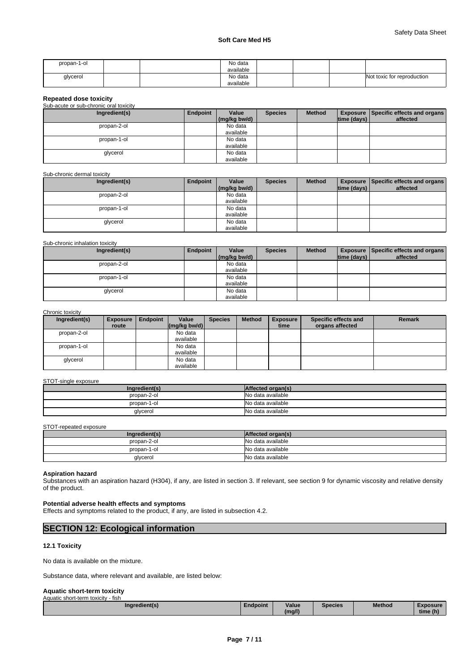| propan-1-ol | No data<br>.<br>available |  |                            |
|-------------|---------------------------|--|----------------------------|
| glycerol    | No data                   |  | Not toxic for reproduction |
|             | available                 |  |                            |

#### **Repeated dose toxicity**

| Sub-acute or sub-chronic oral toxicity |
|----------------------------------------|
|----------------------------------------|

| Ingredient(s) | Endpoint | Value        | <b>Species</b> | <b>Method</b> |             | <b>Exposure   Specific effects and organs  </b> |
|---------------|----------|--------------|----------------|---------------|-------------|-------------------------------------------------|
|               |          | (mg/kg bw/d) |                |               | time (days) | affected                                        |
| propan-2-ol   |          | No data      |                |               |             |                                                 |
|               |          | available    |                |               |             |                                                 |
| propan-1-ol   |          | No data      |                |               |             |                                                 |
|               |          | available    |                |               |             |                                                 |
| glycerol      |          | No data      |                |               |             |                                                 |
|               |          | available    |                |               |             |                                                 |

#### Sub-chronic dermal toxicity

| Ingredient(s) | Endpoint | Value        | <b>Species</b> | <b>Method</b> |             | <b>Exposure   Specific effects and organs  </b> |
|---------------|----------|--------------|----------------|---------------|-------------|-------------------------------------------------|
|               |          | (mg/kg bw/d) |                |               | time (days) | affected                                        |
| propan-2-ol   |          | No data      |                |               |             |                                                 |
|               |          | available    |                |               |             |                                                 |
| propan-1-ol   |          | No data      |                |               |             |                                                 |
|               |          | available    |                |               |             |                                                 |
| glycerol      |          | No data      |                |               |             |                                                 |
|               |          | available    |                |               |             |                                                 |

#### Sub-chronic inhalation toxicity

| Ingredient(s) | Endpoint | Value        | <b>Species</b> | <b>Method</b> |             | <b>Exposure Specific effects and organs</b> |
|---------------|----------|--------------|----------------|---------------|-------------|---------------------------------------------|
|               |          | (mg/kg bw/d) |                |               | time (days) | affected                                    |
| propan-2-ol   |          | No data      |                |               |             |                                             |
|               |          | available    |                |               |             |                                             |
| propan-1-ol   |          | No data      |                |               |             |                                             |
|               |          | available    |                |               |             |                                             |
| glycerol      |          | No data      |                |               |             |                                             |
|               |          | available    |                |               |             |                                             |

### Chronic toxicity

| Ingredient(s) | <b>Exposure</b> | Endpoint | Value                                                   | <b>Species</b> | <b>Method</b> | <b>Exposure</b> | Specific effects and | <b>Remark</b> |
|---------------|-----------------|----------|---------------------------------------------------------|----------------|---------------|-----------------|----------------------|---------------|
|               | route           |          | $\left \frac{\text{mg}}{\text{kg}}\right $ (mg/kg bw/d) |                |               | time            | organs affected      |               |
| propan-2-ol   |                 |          | No data                                                 |                |               |                 |                      |               |
|               |                 |          | available                                               |                |               |                 |                      |               |
| propan-1-ol   |                 |          | No data                                                 |                |               |                 |                      |               |
|               |                 |          | available                                               |                |               |                 |                      |               |
| glycerol      |                 |          | No data                                                 |                |               |                 |                      |               |
|               |                 |          | available                                               |                |               |                 |                      |               |

#### STOT-single exposure

| Ingredient(s) | Affected organ(s) |
|---------------|-------------------|
| propan-2-ol   | No data available |
| propan-1-ol   | No data available |
| glycerol      | No data available |

#### STOT-repeated exposure

| Ingredient(s) | Affected organ(s) |
|---------------|-------------------|
| propan-2-ol   | No data available |
| propan-1-ol   | No data available |
| glycerol      | No data available |

### **Aspiration hazard**

Substances with an aspiration hazard (H304), if any, are listed in section 3. If relevant, see section 9 for dynamic viscosity and relative density of the product.

#### **Potential adverse health effects and symptoms**

Effects and symptoms related to the product, if any, are listed in subsection 4.2.

### **SECTION 12: Ecological information**

#### **12.1 Toxicity**

No data is available on the mixture.

Substance data, where relevant and available, are listed below:

#### **Aquatic short-term toxicity** Aquatic short-term toxicity - fish

| . |                                    |          |        |         |        |          |  |
|---|------------------------------------|----------|--------|---------|--------|----------|--|
|   | <b>The County</b><br>Inaredient(s) | Endpoint | Value  | Species | Method | Exposure |  |
|   |                                    |          | (ma/l) |         |        | time (h) |  |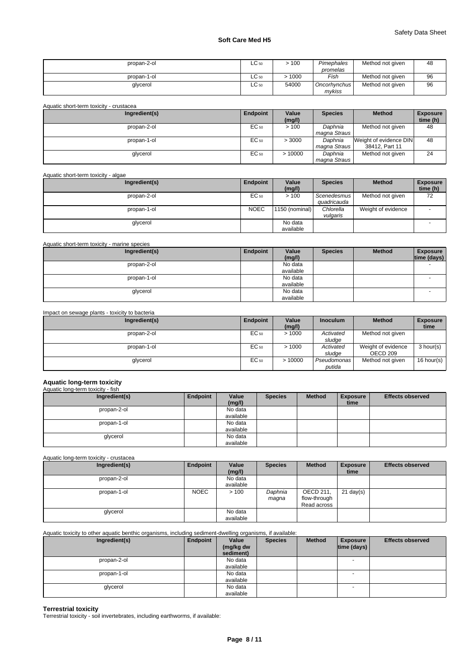| propan-2-ol | $LC_{50}$ | >100  | Pimephales<br>promelas   | Method not given | 48 |
|-------------|-----------|-------|--------------------------|------------------|----|
| propan-1-ol | $LC_{50}$ | 1000  | Fish                     | Method not given | 96 |
| glycerol    | $LC_{50}$ | 54000 | Oncorhynchus I<br>mykiss | Method not given | 96 |

| Aquatic short-term toxicity - crustacea |           |                 |                         |                                          |                             |
|-----------------------------------------|-----------|-----------------|-------------------------|------------------------------------------|-----------------------------|
| Ingredient(s)                           | Endpoint  | Value<br>(mg/l) | <b>Species</b>          | <b>Method</b>                            | <b>Exposure</b><br>time (h) |
| propan-2-ol                             | EC 50     | >100            | Daphnia<br>magna Straus | Method not given                         | 48                          |
| propan-1-ol                             | EC 50     | > 3000          | Daphnia<br>magna Straus | Weight of evidence DIN<br>38412, Part 11 | 48                          |
| glycerol                                | $EC_{50}$ | >10000          | Daphnia<br>magna Straus | Method not given                         | 24                          |

### Aquatic short-term toxicity - algae

| Ingredient(s) | Endpoint    | Value          | <b>Species</b> | <b>Method</b>      | <b>Exposure</b> |
|---------------|-------------|----------------|----------------|--------------------|-----------------|
|               |             | (mg/l)         |                |                    | time (h)        |
| propan-2-ol   | EC 50       | >100           | Scenedesmus    | Method not given   | 72              |
|               |             |                | quadricauda    |                    |                 |
| propan-1-ol   | <b>NOEC</b> | 1150 (nominal) | Chlorella      | Weight of evidence |                 |
|               |             |                | vulgaris       |                    |                 |
| glycerol      |             | No data        |                |                    |                 |
|               |             | available      |                |                    |                 |

### Aquatic short-term toxicity - marine species

| Ingredient(s) | Endpoint | Value     | <b>Species</b> | <b>Method</b> | <b>Exposure</b>          |
|---------------|----------|-----------|----------------|---------------|--------------------------|
|               |          | (mg/l)    |                |               | time (days)              |
| propan-2-ol   |          | No data   |                |               |                          |
|               |          | available |                |               |                          |
| propan-1-ol   |          | No data   |                |               | $\overline{\phantom{a}}$ |
|               |          | available |                |               |                          |
| glycerol      |          | No data   |                |               |                          |
|               |          | available |                |               |                          |

#### Impact on sewage plants - toxicity to bacteria

| Ingredient(s) | Endpoint | Value  | <b>Inoculum</b> | <b>Method</b>      | <b>Exposure</b>    |
|---------------|----------|--------|-----------------|--------------------|--------------------|
|               |          | (mg/l) |                 |                    | time               |
| propan-2-ol   | EC 50    | >1000  | Activated       | Method not given   |                    |
|               |          |        | sludge          |                    |                    |
| propan-1-ol   | EC 50    | >1000  | Activated       | Weight of evidence | 3 hour(s)          |
|               |          |        | sludge          | OECD 209           |                    |
| glycerol      | EC 50    | >10000 | Pseudomonas     | Method not given   | 16 hour(s) $\vert$ |
|               |          |        | putida          |                    |                    |

#### **Aquatic long-term toxicity** iatic long-t

| Ingredient(s) | Endpoint | Value     | <b>Species</b> | <b>Method</b> | <b>Exposure</b> | <b>Effects observed</b> |
|---------------|----------|-----------|----------------|---------------|-----------------|-------------------------|
|               |          | (mg/l)    |                |               | time            |                         |
| propan-2-ol   |          | No data   |                |               |                 |                         |
|               |          | available |                |               |                 |                         |
| propan-1-ol   |          | No data   |                |               |                 |                         |
|               |          | available |                |               |                 |                         |
| glycerol      |          | No data   |                |               |                 |                         |
|               |          | available |                |               |                 |                         |

Aquatic long-term toxicity - crustacea

| Ingredient(s) | Endpoint    | Value<br>(mg/l)      | <b>Species</b>   | <b>Method</b>                            | <b>Exposure</b><br>time | <b>Effects observed</b> |
|---------------|-------------|----------------------|------------------|------------------------------------------|-------------------------|-------------------------|
| propan-2-ol   |             | No data<br>available |                  |                                          |                         |                         |
| propan-1-ol   | <b>NOEC</b> | >100                 | Daphnia<br>magna | OECD 211,<br>flow-through<br>Read across | $21$ day(s)             |                         |
| glycerol      |             | No data<br>available |                  |                                          |                         |                         |

### Aquatic toxicity to other aquatic benthic organisms, including sediment-dwelling organisms, if available:

| Ingredient(s) | Endpoint | Value<br>(mg/kg dw<br>sediment) | <b>Species</b> | <b>Method</b> | <b>Exposure</b><br> time (days) | <b>Effects observed</b> |
|---------------|----------|---------------------------------|----------------|---------------|---------------------------------|-------------------------|
| propan-2-ol   |          | No data<br>available            |                |               | <b>-</b>                        |                         |
| propan-1-ol   |          | No data<br>available            |                |               |                                 |                         |
| glycerol      |          | No data<br>available            |                |               |                                 |                         |

**Terrestrial toxicity** Terrestrial toxicity - soil invertebrates, including earthworms, if available: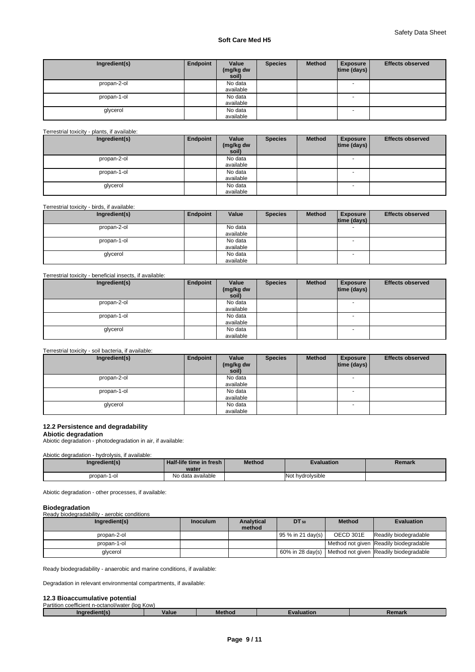| Ingredient(s) | Endpoint | Value<br>(mg/kg dw<br>soil) | <b>Species</b> | <b>Method</b> | <b>Exposure</b><br>$ time$ (days) $ $ | <b>Effects observed</b> |
|---------------|----------|-----------------------------|----------------|---------------|---------------------------------------|-------------------------|
| propan-2-ol   |          | No data<br>available        |                |               | <b>.</b>                              |                         |
| propan-1-ol   |          | No data<br>available        |                |               | $\overline{\phantom{a}}$              |                         |
| glycerol      |          | No data<br>available        |                |               | $\overline{\phantom{a}}$              |                         |

#### Terrestrial toxicity - plants, if available:

| Ingredient(s) | Endpoint | Value              | <b>Species</b> | <b>Method</b> | <b>Exposure</b>          | <b>Effects observed</b> |
|---------------|----------|--------------------|----------------|---------------|--------------------------|-------------------------|
|               |          | (mg/kg dw<br>soil) |                |               | time (days)              |                         |
| propan-2-ol   |          | No data            |                |               | $\overline{\phantom{a}}$ |                         |
|               |          | available          |                |               |                          |                         |
| propan-1-ol   |          | No data            |                |               | - -                      |                         |
|               |          | available          |                |               |                          |                         |
| glycerol      |          | No data            |                |               | $\overline{\phantom{a}}$ |                         |
|               |          | available          |                |               |                          |                         |

Terrestrial toxicity - birds, if available:

| Ingredient(s) | Endpoint | Value     | <b>Species</b> | <b>Method</b> | <b>Exposure</b><br> time (days) | <b>Effects observed</b> |
|---------------|----------|-----------|----------------|---------------|---------------------------------|-------------------------|
| propan-2-ol   |          | No data   |                |               | $\overline{\phantom{a}}$        |                         |
|               |          | available |                |               |                                 |                         |
| propan-1-ol   |          | No data   |                |               | $\overline{\phantom{a}}$        |                         |
|               |          | available |                |               |                                 |                         |
| glycerol      |          | No data   |                |               | - -                             |                         |
|               |          | available |                |               |                                 |                         |

#### Terrestrial toxicity - beneficial insects, if available:

| Ingredient(s) | Endpoint | Value<br>(mg/kg dw<br>soil) | <b>Species</b> | <b>Method</b> | <b>Exposure</b><br> time (days) | <b>Effects observed</b> |
|---------------|----------|-----------------------------|----------------|---------------|---------------------------------|-------------------------|
| propan-2-ol   |          | No data<br>available        |                |               | $\overline{\phantom{a}}$        |                         |
| propan-1-ol   |          | No data<br>available        |                |               |                                 |                         |
| glycerol      |          | No data<br>available        |                |               | $\overline{\phantom{a}}$        |                         |

#### Terrestrial toxicity - soil bacteria, if available:

| Ingredient(s) | Endpoint | Value<br>(mg/kg dw<br>soil) | <b>Species</b> | <b>Method</b> | <b>Exposure</b><br> time (days) | <b>Effects observed</b> |
|---------------|----------|-----------------------------|----------------|---------------|---------------------------------|-------------------------|
| propan-2-ol   |          | No data<br>available        |                |               | $\overline{\phantom{a}}$        |                         |
| propan-1-ol   |          | No data<br>available        |                |               | - -                             |                         |
| glycerol      |          | No data<br>available        |                |               | $\overline{\phantom{a}}$        |                         |

#### **12.2 Persistence and degradability**

#### **Abiotic degradation**

Abiotic degradation - photodegradation in air, if available:

#### Abiotic degradation - hydrolysis, if available:

| Ingredient(s) | Half-life time in fresh I<br>water | <b>Method</b> | <b>Evaluation</b> | Remark |
|---------------|------------------------------------|---------------|-------------------|--------|
| propan-1-ol   | No data available                  |               | Not hydrolysible  |        |

Abiotic degradation - other processes, if available:

### **Biodegradation**

| Ready biodegradability - aerobic conditions |          |                      |                     |               |                                                           |
|---------------------------------------------|----------|----------------------|---------------------|---------------|-----------------------------------------------------------|
| Ingredient(s)                               | Inoculum | Analytical<br>method | DT 50               | <b>Method</b> | <b>Evaluation</b>                                         |
| propan-2-ol                                 |          |                      | $195%$ in 21 day(s) | OECD 301E     | Readily biodegradable                                     |
| propan-1-ol                                 |          |                      |                     |               | Method not given Readily biodegradable                    |
| glycerol                                    |          |                      |                     |               | 60% in 28 day(s)   Method not given Readily biodegradable |

Ready biodegradability - anaerobic and marine conditions, if available:

Degradation in relevant environmental compartments, if available:

## **12.3 Bioaccumulative potential**

| $- - -$<br><b>Partitic</b><br>(log<br>Kow)<br>`anol/wate <sub>l</sub><br>$-0.017$<br>coefficient |                     |  |  |  |  |  |  |  |  |
|--------------------------------------------------------------------------------------------------|---------------------|--|--|--|--|--|--|--|--|
|                                                                                                  | Me<br>value<br>thor |  |  |  |  |  |  |  |  |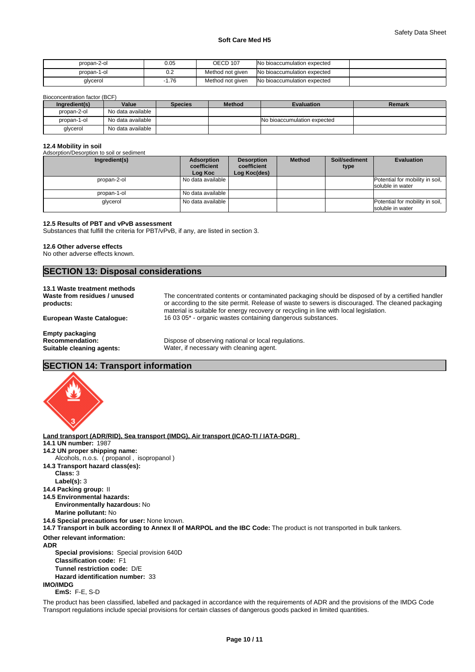| propan-2-ol | 0.05 | <b>OECD 107</b>  | <b>No bioaccumulation expected</b> |  |
|-------------|------|------------------|------------------------------------|--|
| propan-1-ol | v.z  | Method not given | No bioaccumulation expected        |  |
| glycerol    | 1.76 | Method not given | No bioaccumulation expected        |  |

Bioconcentration factor (BCF)

| Ingredient(s) | Value             | <b>Species</b> | <b>Method</b> | <b>Evaluation</b>           | Remark |
|---------------|-------------------|----------------|---------------|-----------------------------|--------|
| propan-2-ol   | No data available |                |               |                             |        |
| propan-1-ol   | No data available |                |               | No bioaccumulation expected |        |
| glycerol      | No data available |                |               |                             |        |

### **12.4 Mobility in soil**

| Adsorption/Desorption to soil or sediment<br>Ingredient(s) | Adsorption             | <b>Desorption</b>           | <b>Method</b> | Soil/sediment | <b>Evaluation</b>                                   |
|------------------------------------------------------------|------------------------|-----------------------------|---------------|---------------|-----------------------------------------------------|
|                                                            | coefficient<br>Log Koc | coefficient<br>Log Koc(des) |               | type          |                                                     |
| propan-2-ol                                                | No data available      |                             |               |               | Potential for mobility in soil,<br>soluble in water |
| propan-1-ol                                                | No data available      |                             |               |               |                                                     |
| glycerol                                                   | No data available      |                             |               |               | Potential for mobility in soil,<br>soluble in water |

#### **12.5 Results of PBT and vPvB assessment**

Substances that fulfill the criteria for PBT/vPvB, if any, are listed in section 3.

#### **12.6 Other adverse effects**

No other adverse effects known.

## **SECTION 13: Disposal considerations**

### **13.1 Waste treatment methods**

**Waste from residues / unused products:**

The concentrated contents or contaminated packaging should be disposed of by a certified handler or according to the site permit. Release of waste to sewers is discouraged. The cleaned packaging material is suitable for energy recovery or recycling in line with local legislation. **European Waste Catalogue:** 16 03 05\* - organic wastes containing dangerous substances.

**Empty packaging**

Dispose of observing national or local regulations. **Suitable cleaning agents:** Water, if necessary with cleaning agent.

### **SECTION 14: Transport information**



**Land transport (ADR/RID), Sea transport (IMDG), Air transport (ICAO-TI / IATA-DGR) 14.1 UN number:** 1987 **14.2 UN proper shipping name: 14.3 Transport hazard class(es): Class:** 3 **Label(s):** 3 **14.4 Packing group:** II **14.5 Environmental hazards: Environmentally hazardous:** No **Marine pollutant:** No **14.6 Special precautions for user:** None known. **14.7 Transport in bulk according to Annex II of MARPOL and the IBC Code:** The product is not transported in bulk tankers. **Other relevant information: ADR Special provisions:** Special provision 640D **Classification code:** F1 **Tunnel restriction code:** D/E **Hazard identification number:** 33 **IMO/IMDG EmS:** F-E, S-D The product has been classified, labelled and packaged in accordance with the requirements of ADR and the provisions of the IMDG Code Transport regulations include special provisions for certain classes of dangerous goods packed in limited quantities. Alcohols, n.o.s. ( propanol , isopropanol )